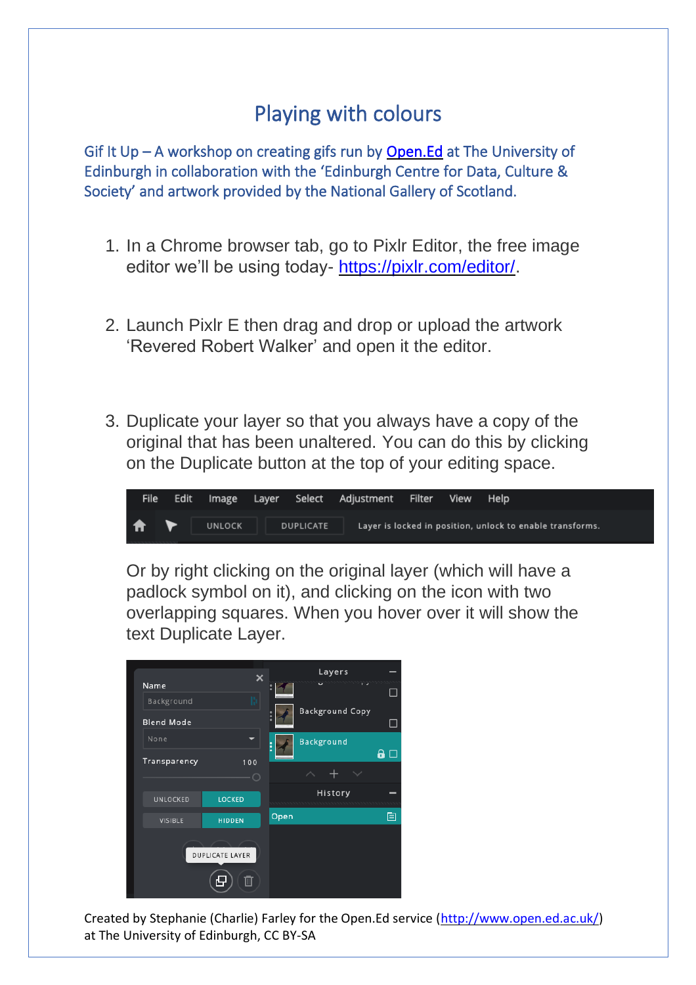## Playing with colours

Gif It Up – A workshop on creating gifs run by [Open.Ed](http://open.ed.ac.uk/) at The University of Edinburgh in collaboration with the 'Edinburgh Centre for Data, Culture & Society' and artwork provided by the National Gallery of Scotland.

- 1. In a Chrome browser tab, go to Pixlr Editor, the free image editor we'll be using today- [https://pixlr.com/editor/.](https://pixlr.com/editor/)
- 2. Launch Pixlr E then drag and drop or upload the artwork 'Revered Robert Walker' and open it the editor.
- 3. Duplicate your layer so that you always have a copy of the original that has been unaltered. You can do this by clicking on the Duplicate button at the top of your editing space.



Or by right clicking on the original layer (which will have a padlock symbol on it), and clicking on the icon with two overlapping squares. When you hover over it will show the text Duplicate Layer.

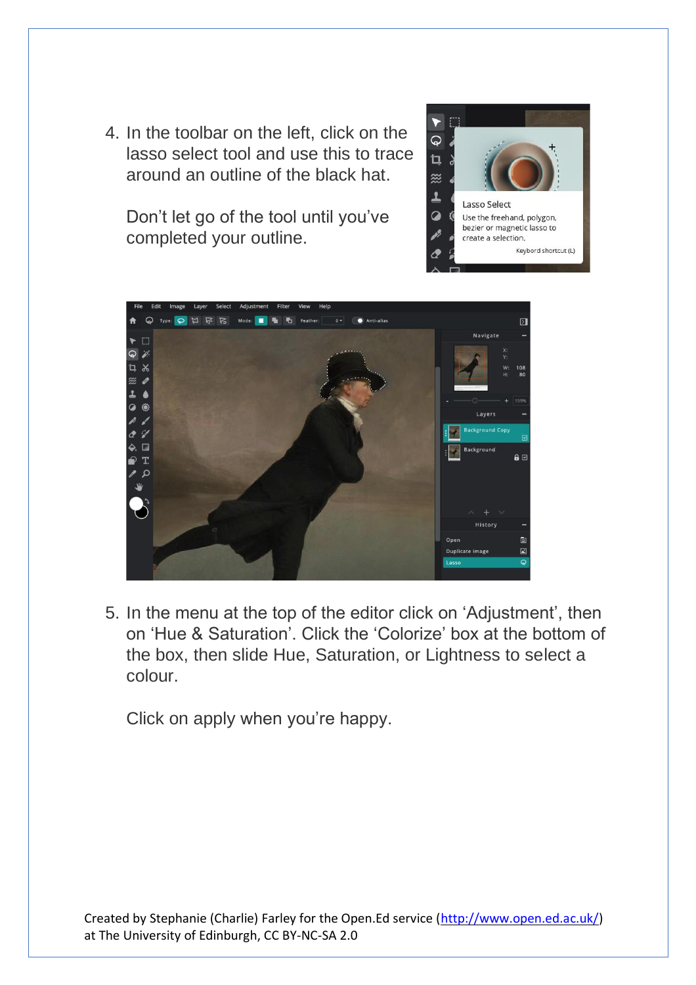4. In the toolbar on the left, click on the lasso select tool and use this to trace around an outline of the black hat.

Don't let go of the tool until you've completed your outline.





5. In the menu at the top of the editor click on 'Adjustment', then on 'Hue & Saturation'. Click the 'Colorize' box at the bottom of the box, then slide Hue, Saturation, or Lightness to select a colour.

Click on apply when you're happy.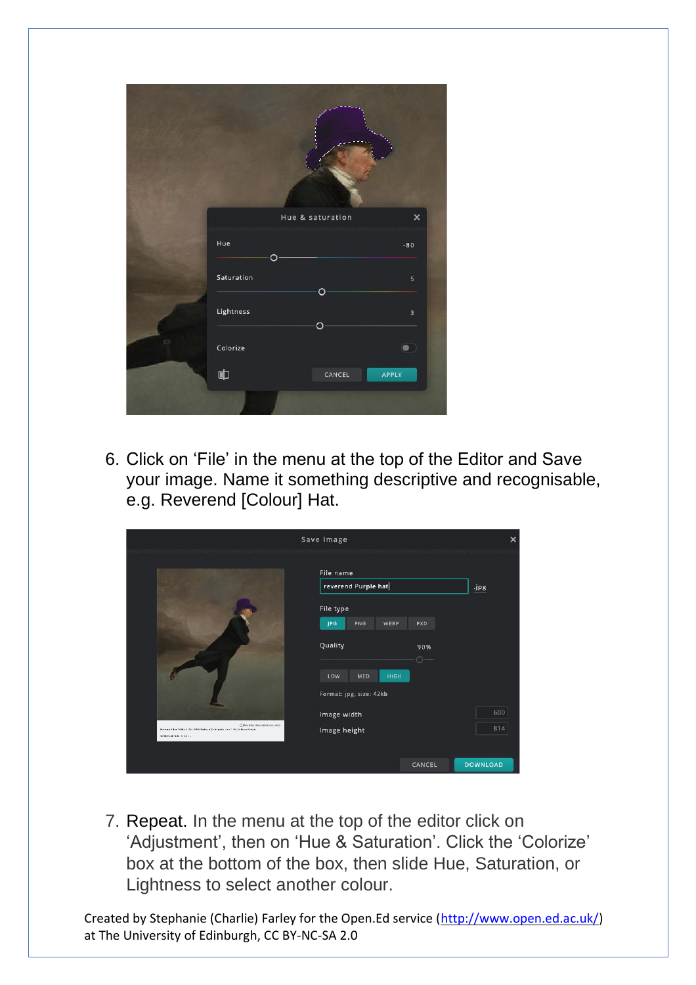|     |                | Hue & saturation | $\times$                |
|-----|----------------|------------------|-------------------------|
|     | Hue            | O                | $-80$                   |
|     | Saturation     | $\circ$          | $\sf 5$                 |
|     | Lightness      | $\circ$          | $\overline{\mathbf{3}}$ |
| (C) | Colorize       |                  | $\bullet$               |
|     | $\blacksquare$ | CANCEL           | APPLY                   |
|     |                |                  |                         |

6. Click on 'File' in the menu at the top of the Editor and Save your image. Name it something descriptive and recognisable, e.g. Reverend [Colour] Hat.

|                                                                                                                                                                 | Save image                                         | ×               |
|-----------------------------------------------------------------------------------------------------------------------------------------------------------------|----------------------------------------------------|-----------------|
|                                                                                                                                                                 | File name<br>reverend Purple hat                   |                 |
|                                                                                                                                                                 | File type                                          | .jpg            |
|                                                                                                                                                                 | <b>JPG</b><br>PNG<br>WEBP<br>PXD<br>Quality<br>90% |                 |
|                                                                                                                                                                 | $\circ$ –<br>LOW<br>MED<br>HIGH                    |                 |
|                                                                                                                                                                 | Format: jpg, size: 42kb<br>Image width             | 600             |
| ITI SATIORALIME ELERATION ARE:<br>Novement Admit Walley (1796 - 1908) Shaking on Dubingston Louis, 1795, St. November Andreas<br>General Carrier or 1978 of St. | Image height                                       | 814             |
|                                                                                                                                                                 | CANCEL                                             | <b>DOWNLOAD</b> |

7. Repeat. In the menu at the top of the editor click on 'Adjustment', then on 'Hue & Saturation'. Click the 'Colorize' box at the bottom of the box, then slide Hue, Saturation, or Lightness to select another colour.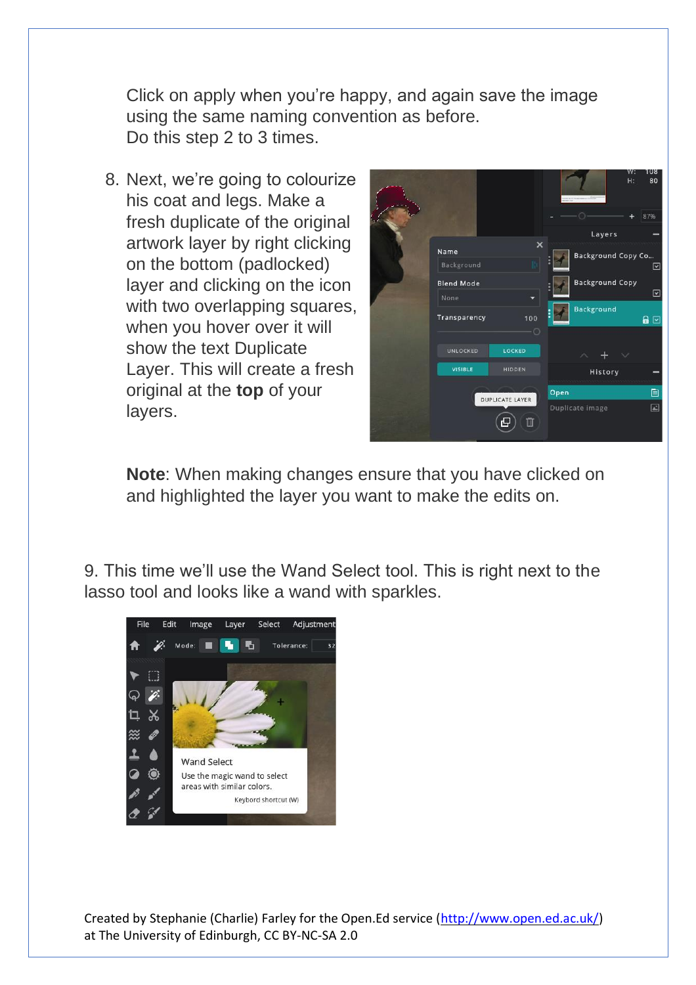Click on apply when you're happy, and again save the image using the same naming convention as before. Do this step 2 to 3 times.

8. Next, we're going to colourize his coat and legs. Make a fresh duplicate of the original artwork layer by right clicking on the bottom (padlocked) layer and clicking on the icon with two overlapping squares, when you hover over it will show the text Duplicate Layer. This will create a fresh original at the **top** of your layers.



**Note**: When making changes ensure that you have clicked on and highlighted the layer you want to make the edits on.

9. This time we'll use the Wand Select tool. This is right next to the lasso tool and looks like a wand with sparkles.

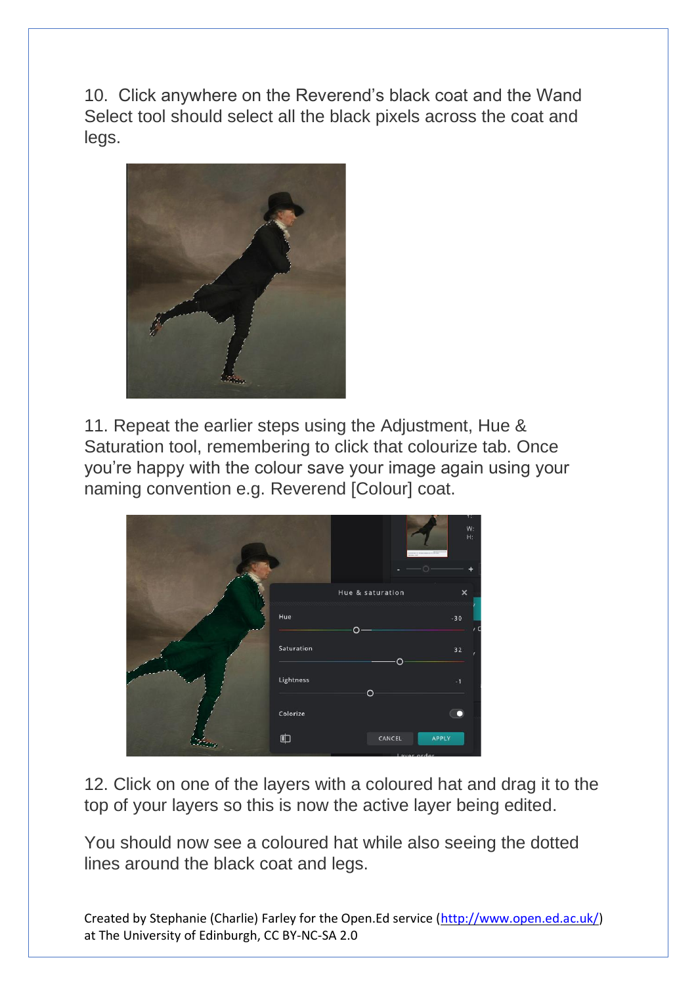10. Click anywhere on the Reverend's black coat and the Wand Select tool should select all the black pixels across the coat and legs.



11. Repeat the earlier steps using the Adjustment, Hue & Saturation tool, remembering to click that colourize tab. Once you're happy with the colour save your image again using your naming convention e.g. Reverend [Colour] coat.

|            | w                | τ.<br>W:<br>$H$ : |
|------------|------------------|-------------------|
|            |                  |                   |
|            | Hue & saturation | $\pmb{\times}$    |
| Hue        |                  | $-30$             |
|            | $\circ$          | $\prime$ (        |
| Saturation | $\Omega$         | 32                |
| Lightness  | $\circ$          | $-1$              |
|            |                  |                   |
| Colorize   |                  | <b>IO</b>         |
| 中          | CANCEL           | APPLY             |
|            | Lough and an     |                   |

12. Click on one of the layers with a coloured hat and drag it to the top of your layers so this is now the active layer being edited.

You should now see a coloured hat while also seeing the dotted lines around the black coat and legs.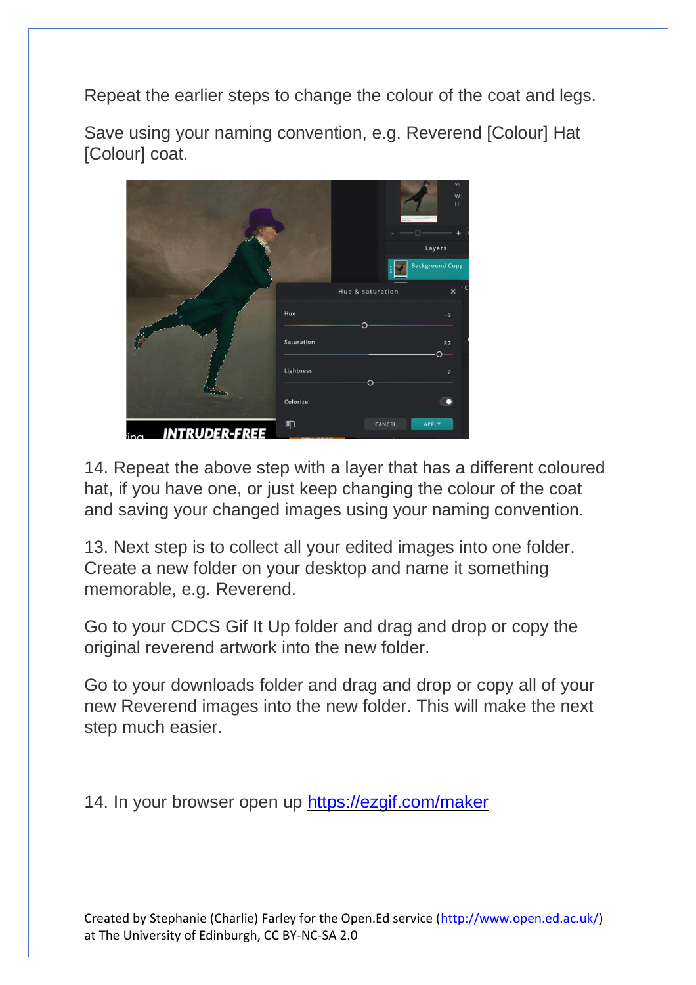Repeat the earlier steps to change the colour of the coat and legs.

Save using your naming convention, e.g. Reverend [Colour] Hat [Colour] coat.



14. Repeat the above step with a layer that has a different coloured hat, if you have one, or just keep changing the colour of the coat and saving your changed images using your naming convention.

13. Next step is to collect all your edited images into one folder. Create a new folder on your desktop and name it something memorable, e.g. Reverend.

Go to your CDCS Gif It Up folder and drag and drop or copy the original reverend artwork into the new folder.

Go to your downloads folder and drag and drop or copy all of your new Reverend images into the new folder. This will make the next step much easier.

14. In your browser open up<https://ezgif.com/maker>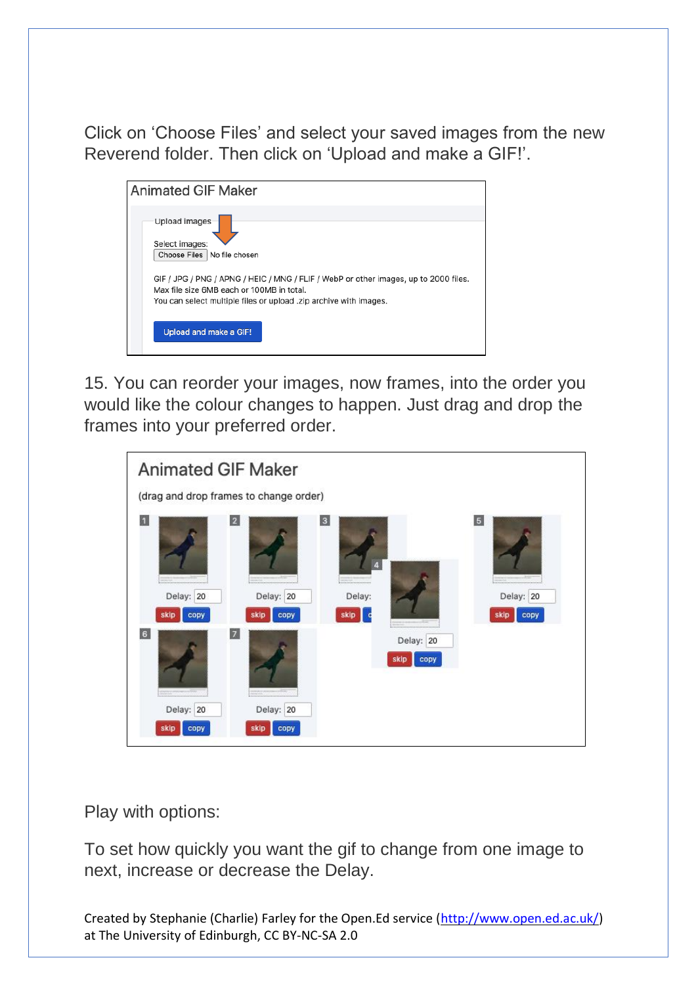Click on 'Choose Files' and select your saved images from the new Reverend folder. Then click on 'Upload and make a GIF!'.

| <b>Animated GIF Maker</b>                                                                                                                                                                              |
|--------------------------------------------------------------------------------------------------------------------------------------------------------------------------------------------------------|
| Upload images<br>Select images:<br>Choose Files No file chosen                                                                                                                                         |
| GIF / JPG / PNG / APNG / HEIC / MNG / FLIF / WebP or other images, up to 2000 files.<br>Max file size 6MB each or 100MB in total.<br>You can select multiple files or upload .zip archive with images. |
| Upload and make a GIF!                                                                                                                                                                                 |

15. You can reorder your images, now frames, into the order you would like the colour changes to happen. Just drag and drop the frames into your preferred order.

| <b>Animated GIF Maker</b><br>(drag and drop frames to change order) |                           |                                           |                           |                                             |
|---------------------------------------------------------------------|---------------------------|-------------------------------------------|---------------------------|---------------------------------------------|
| $\overline{2}$<br>и<br>Delay: 20<br>copy<br>skip                    | Delay: 20<br>skip<br>copy | $\overline{\mathbf{3}}$<br>Delay:<br>skip |                           | 5 <sub>5</sub><br>Delay: 20<br>skip<br>copy |
| 6<br>$\overline{z}$<br>:<br>Delay: 20<br>CODY                       | Delay: 20<br>skip<br>copy |                                           | Delay: 20<br>CODV<br>skip |                                             |

Play with options:

To set how quickly you want the gif to change from one image to next, increase or decrease the Delay.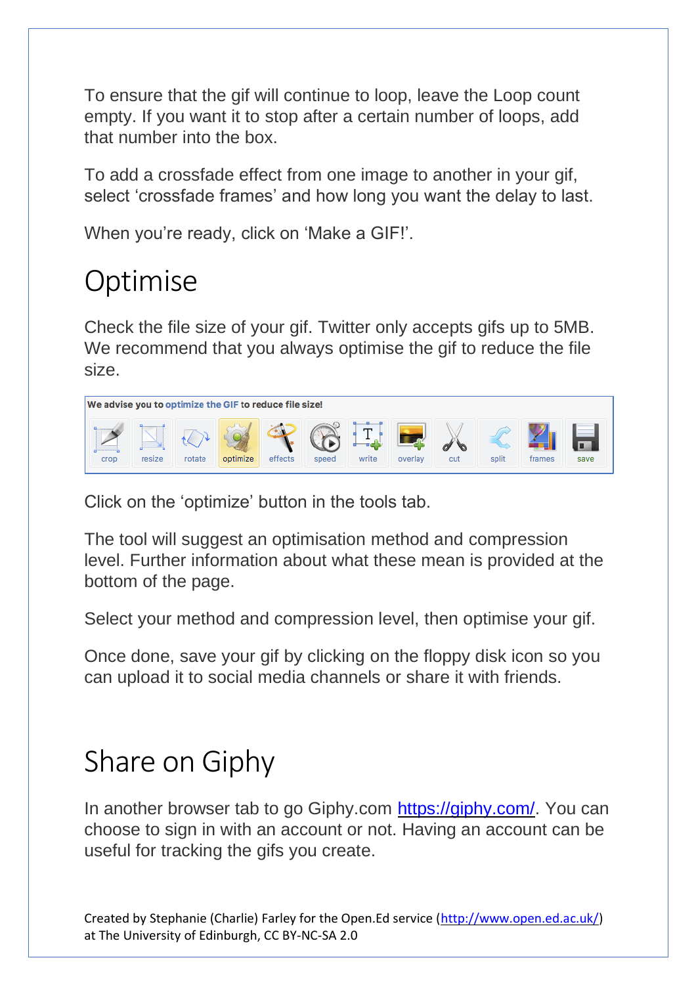To ensure that the gif will continue to loop, leave the Loop count empty. If you want it to stop after a certain number of loops, add that number into the box.

To add a crossfade effect from one image to another in your gif, select 'crossfade frames' and how long you want the delay to last.

When you're ready, click on 'Make a GIF!'.

## Optimise

Check the file size of your gif. Twitter only accepts gifs up to 5MB. We recommend that you always optimise the gif to reduce the file size.



Click on the 'optimize' button in the tools tab.

The tool will suggest an optimisation method and compression level. Further information about what these mean is provided at the bottom of the page.

Select your method and compression level, then optimise your gif.

Once done, save your gif by clicking on the floppy disk icon so you can upload it to social media channels or share it with friends.

## Share on Giphy

In another browser tab to go Giphy.com [https://giphy.com/.](https://giphy.com/) You can choose to sign in with an account or not. Having an account can be useful for tracking the gifs you create.